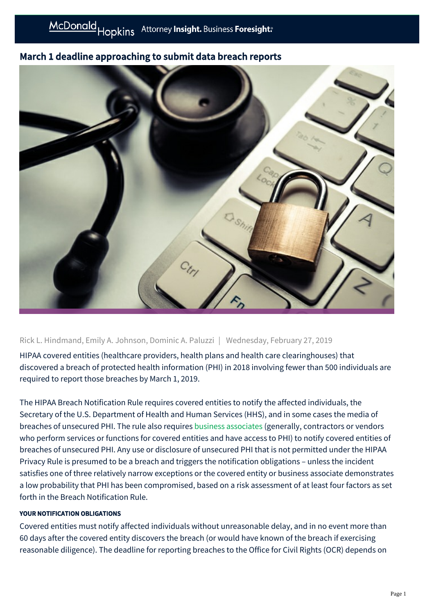## March 1 deadline approaching to submit data breach reports



Rick L. Hindmand, Emily A. Johnson, Dominic A. Paluzzi | Wednesday, February 27, 2019

HIPAA covered entities (healthcare providers, health plans and health care clearinghouses) that discovered a breach of protected health information (PHI) in 2018 involving fewer than 500 individuals are required to report those breaches by March 1, 2019.

The HIPAA Breach Notification Rule requires covered entities to notify the affected individuals, the Secretary of the U.S. Department of Health and Human Services (HHS), and in some cases the media of breaches of unsecured PHI. The rule also requires [business associates](https://mcdonaldhopkins.com/Insights/Alerts/2017/01/09/Who-is-a-HIPAA-business-associate) (generally, contractors or vendors who perform services or functions for covered entities and have access to PHI) to notify covered entities of breaches of unsecured PHI. Any use or disclosure of unsecured PHI that is not permitted under the HIPAA Privacy Rule is presumed to be a breach and triggers the notification obligations – unless the incident satisfies one of three relatively narrow exceptions or the covered entity or business associate demonstrates a low probability that PHI has been compromised, based on a risk assessment of at least four factors as set forth in the Breach Notification Rule.

## YOUR NOTIFICATION OBLIGATIONS

Covered entities must notify affected individuals without unreasonable delay, and in no event more than 60 days after the covered entity discovers the breach (or would have known of the breach if exercising reasonable diligence). The deadline for reporting breaches to the Office for Civil Rights (OCR) depends on